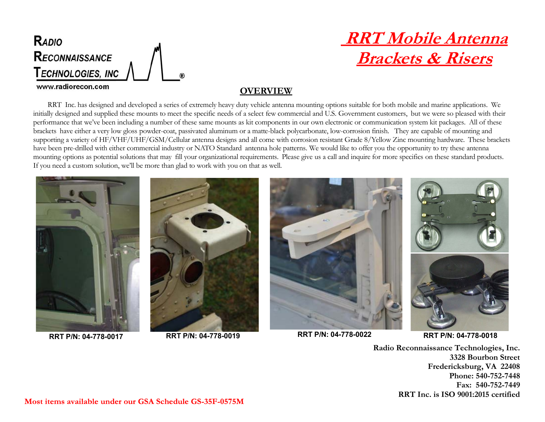

## **RRT Mobile Antenna Brackets & Risers**

## **OVERVIEW**

RRT Inc. has designed and developed a series of extremely heavy duty vehicle antenna mounting options suitable for both mobile and marine applications. We initially designed and supplied these mounts to meet the specific needs of a select few commercial and U.S. Government customers, but we were so pleased with their performance that we've been including a number of these same mounts as kit components in our own electronic or communication system kit packages. All of these brackets have either a very low gloss powder-coat, passivated aluminum or a matte-black polycarbonate, low-corrosion finish. They are capable of mounting and supporting a variety of HF/VHF/UHF/GSM/Cellular antenna designs and all come with corrosion resistant Grade 8/Yellow Zinc mounting hardware. These brackets have been pre-drilled with either commercial industry or NATO Standard antenna hole patterns. We would like to offer you the opportunity to try these antenna mounting options as potential solutions that may fill your organizational requirements. Please give us a call and inquire for more specifics on these standard products. If you need a custom solution, we'll be more than glad to work with you on that as well.







**RRT P/N: 04-778-0017 RRT P/N: 04-778-0022 RRT P/N: 04-778-0019**

**RRT P/N: 04-778-0018**

**Radio Reconnaissance Technologies, Inc. 3328 Bourbon Street Fredericksburg, VA 22408 Phone: 540-752-7448 Fax: 540-752-7449 RRT Inc. is ISO 9001:2015 certified**